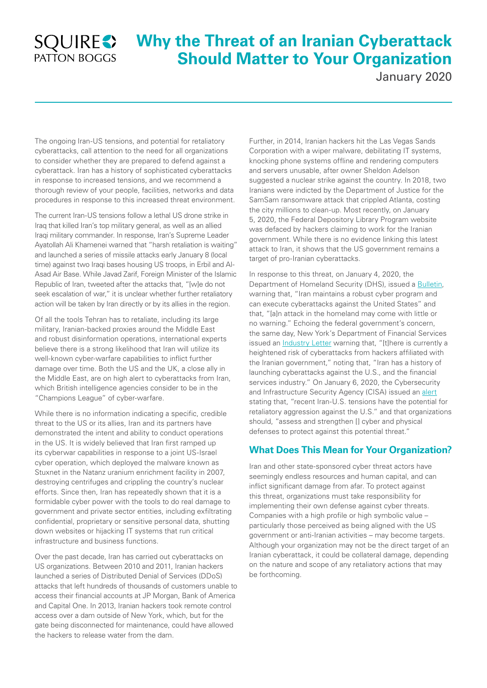## **SQUIRES** PATTON BOGGS

# **Why the Threat of an Iranian Cyberattack Should Matter to Your Organization**

January 2020

The ongoing Iran-US tensions, and potential for retaliatory cyberattacks, call attention to the need for all organizations to consider whether they are prepared to defend against a cyberattack. Iran has a history of sophisticated cyberattacks in response to increased tensions, and we recommend a thorough review of your people, facilities, networks and data procedures in response to this increased threat environment.

The current Iran-US tensions follow a lethal US drone strike in Iraq that killed Iran's top military general, as well as an allied Iraqi military commander. In response, Iran's Supreme Leader Ayatollah Ali Khamenei warned that "harsh retaliation is waiting" and launched a series of missile attacks early January 8 (local time) against two Iraqi bases housing US troops, in Erbil and Al-Asad Air Base. While Javad Zarif, Foreign Minister of the Islamic Republic of Iran, tweeted after the attacks that, "[w]e do not seek escalation of war," it is unclear whether further retaliatory action will be taken by Iran directly or by its allies in the region.

Of all the tools Tehran has to retaliate, including its large military, Iranian-backed proxies around the Middle East and robust disinformation operations, international experts believe there is a strong likelihood that Iran will utilize its well-known cyber-warfare capabilities to inflict further damage over time. Both the US and the UK, a close ally in the Middle East, are on high alert to cyberattacks from Iran, which British intelligence agencies consider to be in the "Champions League" of cyber-warfare.

While there is no information indicating a specific, credible threat to the US or its allies, Iran and its partners have demonstrated the intent and ability to conduct operations in the US. It is widely believed that Iran first ramped up its cyberwar capabilities in response to a joint US-Israel cyber operation, which deployed the malware known as Stuxnet in the Natanz uranium enrichment facility in 2007, destroying centrifuges and crippling the country's nuclear efforts. Since then, Iran has repeatedly shown that it is a formidable cyber power with the tools to do real damage to government and private sector entities, including exfiltrating confidential, proprietary or sensitive personal data, shutting down websites or hijacking IT systems that run critical infrastructure and business functions.

Over the past decade, Iran has carried out cyberattacks on US organizations. Between 2010 and 2011, Iranian hackers launched a series of Distributed Denial of Services (DDoS) attacks that left hundreds of thousands of customers unable to access their financial accounts at JP Morgan, Bank of America and Capital One. In 2013, Iranian hackers took remote control access over a dam outside of New York, which, but for the gate being disconnected for maintenance, could have allowed the hackers to release water from the dam.

Further, in 2014, Iranian hackers hit the Las Vegas Sands Corporation with a wiper malware, debilitating IT systems, knocking phone systems offline and rendering computers and servers unusable, after owner Sheldon Adelson suggested a nuclear strike against the country. In 2018, two Iranians were indicted by the Department of Justice for the SamSam ransomware attack that crippled Atlanta, costing the city millions to clean-up. Most recently, on January 5, 2020, the Federal Depository Library Program website was defaced by hackers claiming to work for the Iranian government. While there is no evidence linking this latest attack to Iran, it shows that the US government remains a target of pro-Iranian cyberattacks.

In response to this threat, on January 4, 2020, the Department of Homeland Security (DHS), issued a [Bulletin,](https://www.dhs.gov/sites/default/files/ntas/alerts/20_0104_ntas_bulletin.pdf) warning that, "Iran maintains a robust cyber program and can execute cyberattacks against the United States" and that, "[a]n attack in the homeland may come with little or no warning." Echoing the federal government's concern, the same day, New York's Department of Financial Services issued an **Industry Letter** warning that, "[t]here is currently a heightened risk of cyberattacks from hackers affiliated with the Iranian government," noting that, "Iran has a history of launching cyberattacks against the U.S., and the financial services industry." On January 6, 2020, the Cybersecurity and Infrastructure Security Agency (CISA) issued an [alert](https://www.cisa.gov/sites/default/files/publications/CISA-Insights-Increased-Geopolitical-Tensions-and-Threats-S508C.pdf) stating that, "recent Iran-U.S. tensions have the potential for retaliatory aggression against the U.S." and that organizations should, "assess and strengthen [] cyber and physical defenses to protect against this potential threat."

### **What Does This Mean for Your Organization?**

Iran and other state-sponsored cyber threat actors have seemingly endless resources and human capital, and can inflict significant damage from afar. To protect against this threat, organizations must take responsibility for implementing their own defense against cyber threats. Companies with a high profile or high symbolic value – particularly those perceived as being aligned with the US government or anti-Iranian activities – may become targets. Although your organization may not be the direct target of an Iranian cyberattack, it could be collateral damage, depending on the nature and scope of any retaliatory actions that may be forthcoming.